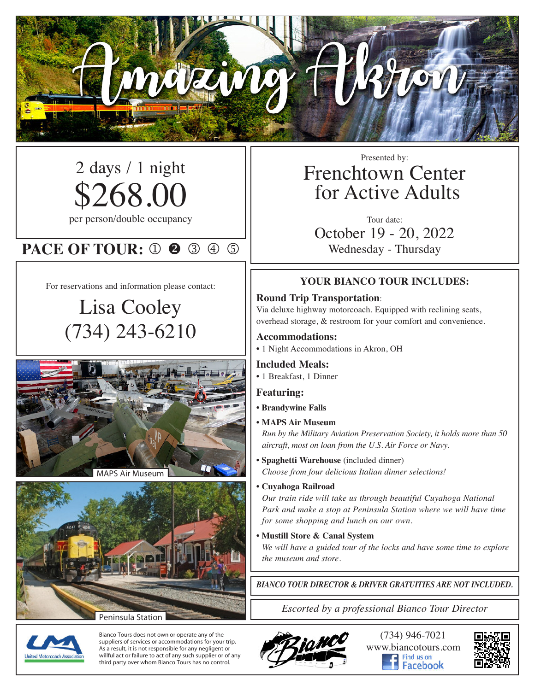

# 2 days / 1 night \$268.00

per person/double occupancy

# **PACE OF TOUR: 0 2 3 4 5**

For reservations and information please contact:

# Lisa Cooley (734) 243-6210





Bianco Tours does not own or operate any of the suppliers of services or accommodations for your trip. As a result, it is not responsible for any negligent or willful act or failure to act of any such supplier or of any third party over whom Bianco Tours has no control.

## Presented by: Frenchtown Center for Active Adults

Tour date: October 19 - 20, 2022 Wednesday - Thursday

#### **YOUR BIANCO TOUR INCLUDES:**

#### **Round Trip Transportation**:

Via deluxe highway motorcoach. Equipped with reclining seats, overhead storage, & restroom for your comfort and convenience.

#### **Accommodations:**

• 1 Night Accommodations in Akron, OH

#### **Included Meals:**

• 1 Breakfast, 1 Dinner

#### **Featuring:**

- **• Brandywine Falls**
- **MAPS Air Museum**

*Run by the Military Aviation Preservation Society, it holds more than 50 aircraft, most on loan from the U.S. Air Force or Navy.*

- **• Spaghetti Warehouse** (included dinner) *Choose from four delicious Italian dinner selections!*
- **Cuyahoga Railroad**

*Our train ride will take us through beautiful Cuyahoga National Park and make a stop at Peninsula Station where we will have time for some shopping and lunch on our own.*

**• Mustill Store & Canal System**

*We will have a guided tour of the locks and have some time to explore the museum and store.*

*BIANCO TOUR DIRECTOR & DRIVER GRATUITIES ARE NOT INCLUDED.*

*Escorted by a professional Bianco Tour Director*





(734) 946-7021 www.biancotours.com acebook